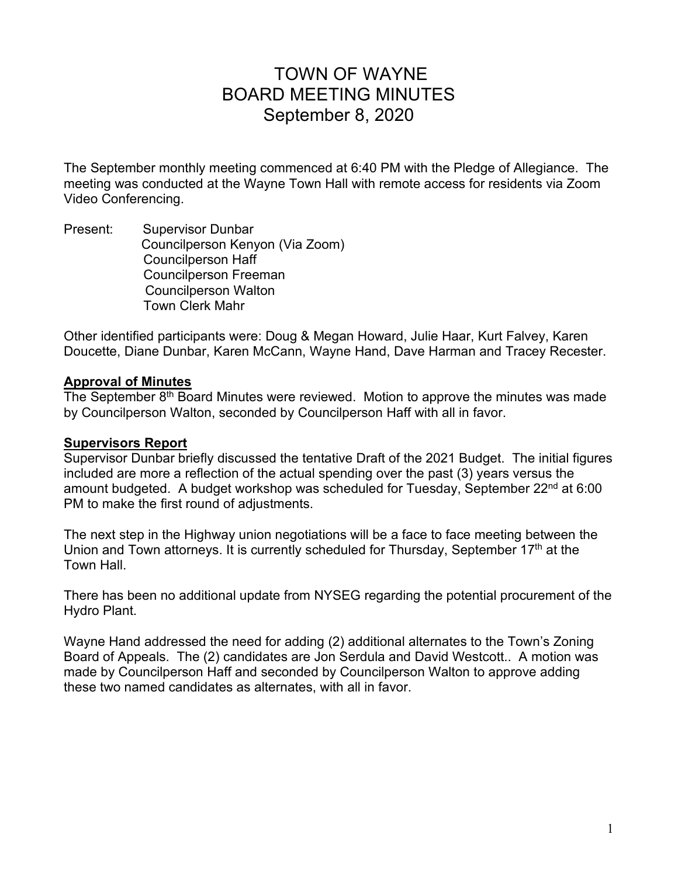# TOWN OF WAYNE BOARD MEETING MINUTES September 8, 2020

The September monthly meeting commenced at 6:40 PM with the Pledge of Allegiance. The meeting was conducted at the Wayne Town Hall with remote access for residents via Zoom Video Conferencing.

Present: Supervisor Dunbar Councilperson Kenyon (Via Zoom) Councilperson Haff Councilperson Freeman Councilperson Walton Town Clerk Mahr

Other identified participants were: Doug & Megan Howard, Julie Haar, Kurt Falvey, Karen Doucette, Diane Dunbar, Karen McCann, Wayne Hand, Dave Harman and Tracey Recester.

#### **Approval of Minutes**

The September 8<sup>th</sup> Board Minutes were reviewed. Motion to approve the minutes was made by Councilperson Walton, seconded by Councilperson Haff with all in favor.

#### **Supervisors Report**

Supervisor Dunbar briefly discussed the tentative Draft of the 2021 Budget. The initial figures included are more a reflection of the actual spending over the past (3) years versus the amount budgeted. A budget workshop was scheduled for Tuesday, September 22<sup>nd</sup> at 6:00 PM to make the first round of adjustments.

The next step in the Highway union negotiations will be a face to face meeting between the Union and Town attorneys. It is currently scheduled for Thursday, September 17<sup>th</sup> at the Town Hall.

There has been no additional update from NYSEG regarding the potential procurement of the Hydro Plant.

Wayne Hand addressed the need for adding (2) additional alternates to the Town's Zoning Board of Appeals. The (2) candidates are Jon Serdula and David Westcott.. A motion was made by Councilperson Haff and seconded by Councilperson Walton to approve adding these two named candidates as alternates, with all in favor.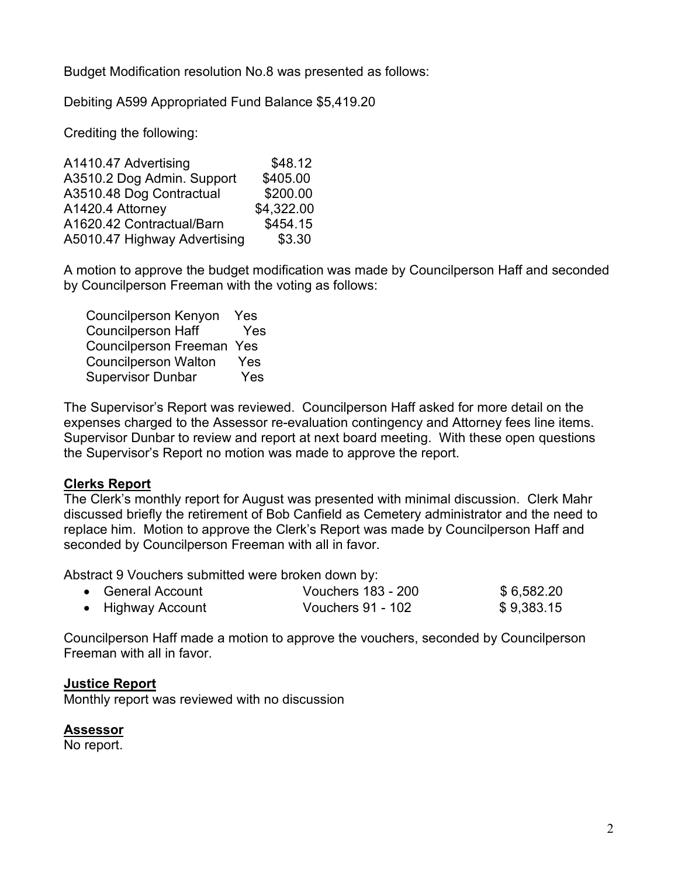Budget Modification resolution No.8 was presented as follows:

Debiting A599 Appropriated Fund Balance \$5,419.20

Crediting the following:

| A1410.47 Advertising         | \$48.12    |
|------------------------------|------------|
| A3510.2 Dog Admin. Support   | \$405.00   |
| A3510.48 Dog Contractual     | \$200.00   |
| A1420.4 Attorney             | \$4,322.00 |
| A1620.42 Contractual/Barn    | \$454.15   |
| A5010.47 Highway Advertising | \$3.30     |

A motion to approve the budget modification was made by Councilperson Haff and seconded by Councilperson Freeman with the voting as follows:

| <b>Councilperson Kenyon</b>      | <b>Yes</b> |
|----------------------------------|------------|
| <b>Councilperson Haff</b>        | Yes        |
| <b>Councilperson Freeman Yes</b> |            |
| <b>Councilperson Walton</b>      | Yes        |
| <b>Supervisor Dunbar</b>         | Yes        |

The Supervisor's Report was reviewed. Councilperson Haff asked for more detail on the expenses charged to the Assessor re-evaluation contingency and Attorney fees line items. Supervisor Dunbar to review and report at next board meeting. With these open questions the Supervisor's Report no motion was made to approve the report.

#### **Clerks Report**

The Clerk's monthly report for August was presented with minimal discussion. Clerk Mahr discussed briefly the retirement of Bob Canfield as Cemetery administrator and the need to replace him. Motion to approve the Clerk's Report was made by Councilperson Haff and seconded by Councilperson Freeman with all in favor.

Abstract 9 Vouchers submitted were broken down by:

| • General Account | <b>Vouchers 183 - 200</b> | \$6,582.20 |
|-------------------|---------------------------|------------|
| • Highway Account | Vouchers 91 - 102         | \$9,383.15 |

Councilperson Haff made a motion to approve the vouchers, seconded by Councilperson Freeman with all in favor.

#### **Justice Report**

Monthly report was reviewed with no discussion

#### **Assessor**

No report.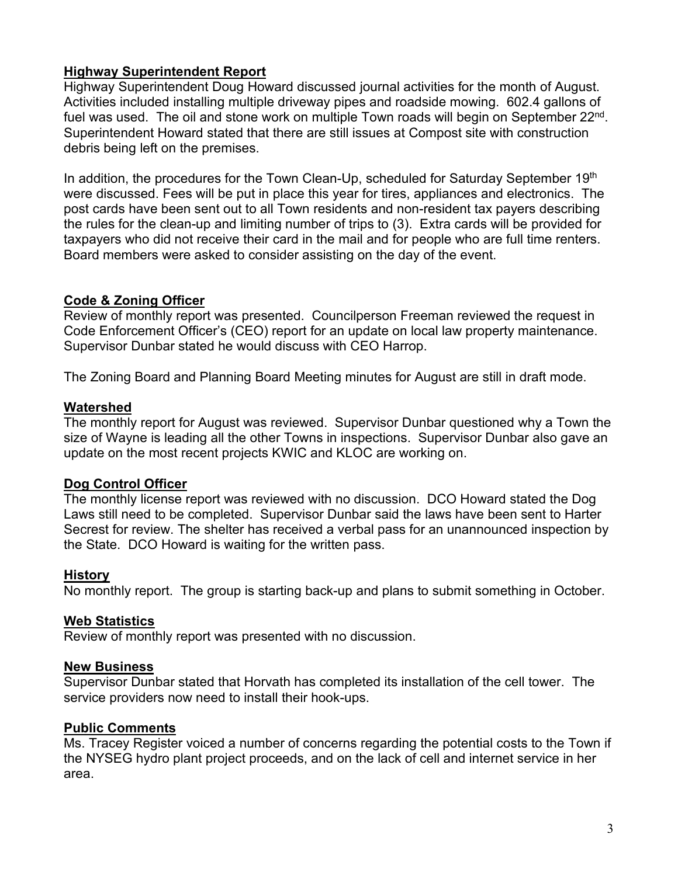## **Highway Superintendent Report**

Highway Superintendent Doug Howard discussed journal activities for the month of August. Activities included installing multiple driveway pipes and roadside mowing. 602.4 gallons of fuel was used. The oil and stone work on multiple Town roads will begin on September 22<sup>nd</sup>. Superintendent Howard stated that there are still issues at Compost site with construction debris being left on the premises.

In addition, the procedures for the Town Clean-Up, scheduled for Saturday September 19th were discussed. Fees will be put in place this year for tires, appliances and electronics. The post cards have been sent out to all Town residents and non-resident tax payers describing the rules for the clean-up and limiting number of trips to (3). Extra cards will be provided for taxpayers who did not receive their card in the mail and for people who are full time renters. Board members were asked to consider assisting on the day of the event.

## **Code & Zoning Officer**

Review of monthly report was presented. Councilperson Freeman reviewed the request in Code Enforcement Officer's (CEO) report for an update on local law property maintenance. Supervisor Dunbar stated he would discuss with CEO Harrop.

The Zoning Board and Planning Board Meeting minutes for August are still in draft mode.

## **Watershed**

The monthly report for August was reviewed. Supervisor Dunbar questioned why a Town the size of Wayne is leading all the other Towns in inspections. Supervisor Dunbar also gave an update on the most recent projects KWIC and KLOC are working on.

# **Dog Control Officer**

The monthly license report was reviewed with no discussion. DCO Howard stated the Dog Laws still need to be completed. Supervisor Dunbar said the laws have been sent to Harter Secrest for review. The shelter has received a verbal pass for an unannounced inspection by the State. DCO Howard is waiting for the written pass.

## **History**

No monthly report. The group is starting back-up and plans to submit something in October.

## **Web Statistics**

Review of monthly report was presented with no discussion.

## **New Business**

Supervisor Dunbar stated that Horvath has completed its installation of the cell tower. The service providers now need to install their hook-ups.

# **Public Comments**

Ms. Tracey Register voiced a number of concerns regarding the potential costs to the Town if the NYSEG hydro plant project proceeds, and on the lack of cell and internet service in her area.